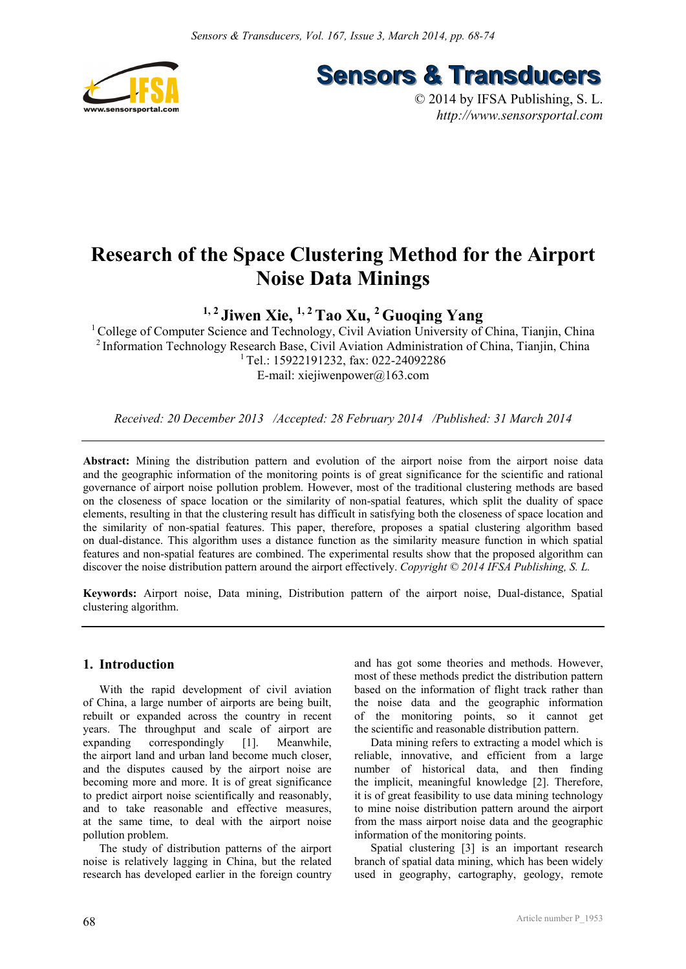

**Sensors & Transducers** 

© 2014 by IFSA Publishing, S. L. *http://www.sensorsportal.com*

# **Research of the Space Clustering Method for the Airport Noise Data Minings**

**1, 2 Jiwen Xie, 1, 2 Tao Xu, 2 Guoqing Yang** 

<sup>1</sup> College of Computer Science and Technology, Civil Aviation University of China, Tianjin, China 2 Information Technology Research Base, Civil Aviation Administration of China, Tianjin, China <sup>1</sup> Tel.: 15922191232, fax: 022-24092286 E-mail: xiejiwenpower@163.com

*Received: 20 December 2013 /Accepted: 28 February 2014 /Published: 31 March 2014*

**Abstract:** Mining the distribution pattern and evolution of the airport noise from the airport noise data and the geographic information of the monitoring points is of great significance for the scientific and rational governance of airport noise pollution problem. However, most of the traditional clustering methods are based on the closeness of space location or the similarity of non-spatial features, which split the duality of space elements, resulting in that the clustering result has difficult in satisfying both the closeness of space location and the similarity of non-spatial features. This paper, therefore, proposes a spatial clustering algorithm based on dual-distance. This algorithm uses a distance function as the similarity measure function in which spatial features and non-spatial features are combined. The experimental results show that the proposed algorithm can discover the noise distribution pattern around the airport effectively. *Copyright © 2014 IFSA Publishing, S. L.*

**Keywords:** Airport noise, Data mining, Distribution pattern of the airport noise, Dual-distance, Spatial clustering algorithm.

## **1. Introduction**

With the rapid development of civil aviation of China, a large number of airports are being built, rebuilt or expanded across the country in recent years. The throughput and scale of airport are expanding correspondingly [1]. Meanwhile, the airport land and urban land become much closer, and the disputes caused by the airport noise are becoming more and more. It is of great significance to predict airport noise scientifically and reasonably, and to take reasonable and effective measures, at the same time, to deal with the airport noise pollution problem.

The study of distribution patterns of the airport noise is relatively lagging in China, but the related research has developed earlier in the foreign country and has got some theories and methods. However, most of these methods predict the distribution pattern based on the information of flight track rather than the noise data and the geographic information of the monitoring points, so it cannot get the scientific and reasonable distribution pattern.

Data mining refers to extracting a model which is reliable, innovative, and efficient from a large number of historical data, and then finding the implicit, meaningful knowledge [2]. Therefore, it is of great feasibility to use data mining technology to mine noise distribution pattern around the airport from the mass airport noise data and the geographic information of the monitoring points.

Spatial clustering [3] is an important research branch of spatial data mining, which has been widely used in geography, cartography, geology, remote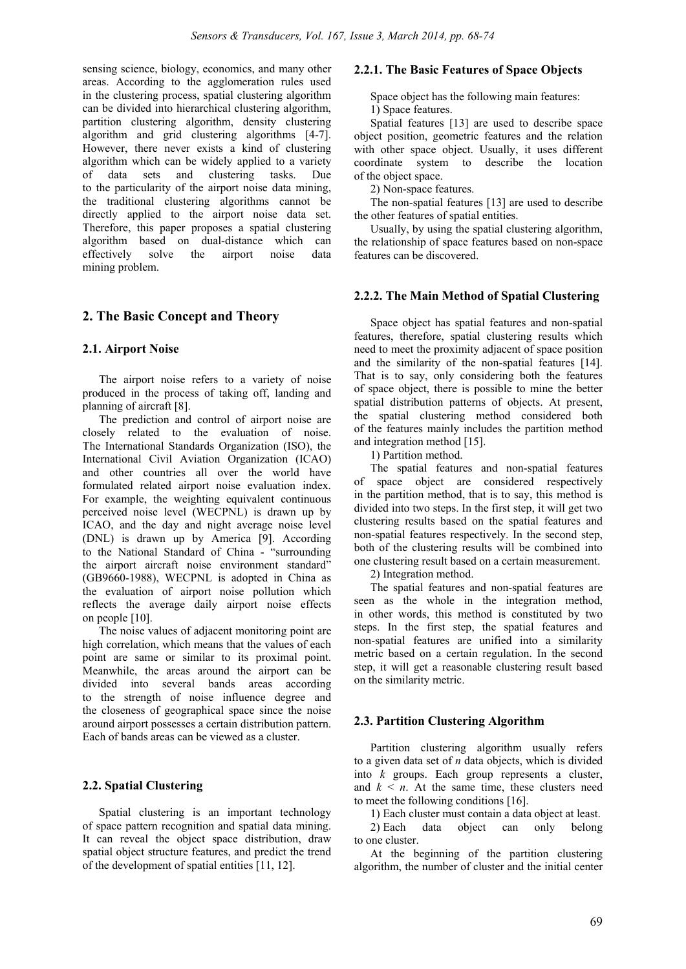sensing science, biology, economics, and many other areas. According to the agglomeration rules used in the clustering process, spatial clustering algorithm can be divided into hierarchical clustering algorithm, partition clustering algorithm, density clustering algorithm and grid clustering algorithms [4-7]. However, there never exists a kind of clustering algorithm which can be widely applied to a variety<br>of data sets and clustering tasks. Due of data sets and clustering tasks. Due to the particularity of the airport noise data mining, the traditional clustering algorithms cannot be directly applied to the airport noise data set. Therefore, this paper proposes a spatial clustering algorithm based on dual-distance which can effectively solve the airport noise data mining problem.

## **2. The Basic Concept and Theory**

#### **2.1. Airport Noise**

The airport noise refers to a variety of noise produced in the process of taking off, landing and planning of aircraft [8].

The prediction and control of airport noise are closely related to the evaluation of noise. The International Standards Organization (ISO), the International Civil Aviation Organization (ICAO) and other countries all over the world have formulated related airport noise evaluation index. For example, the weighting equivalent continuous perceived noise level (WECPNL) is drawn up by ICAO, and the day and night average noise level (DNL) is drawn up by America [9]. According to the National Standard of China - "surrounding the airport aircraft noise environment standard" (GB9660-1988), WECPNL is adopted in China as the evaluation of airport noise pollution which reflects the average daily airport noise effects on people [10].

The noise values of adjacent monitoring point are high correlation, which means that the values of each point are same or similar to its proximal point. Meanwhile, the areas around the airport can be divided into several bands areas according to the strength of noise influence degree and the closeness of geographical space since the noise around airport possesses a certain distribution pattern. Each of bands areas can be viewed as a cluster.

#### **2.2. Spatial Clustering**

Spatial clustering is an important technology of space pattern recognition and spatial data mining. It can reveal the object space distribution, draw spatial object structure features, and predict the trend of the development of spatial entities [11, 12].

#### **2.2.1. The Basic Features of Space Objects**

Space object has the following main features: 1) Space features.

Spatial features [13] are used to describe space object position, geometric features and the relation with other space object. Usually, it uses different coordinate system to describe the location of the object space.

2) Non-space features.

The non-spatial features [13] are used to describe the other features of spatial entities.

Usually, by using the spatial clustering algorithm, the relationship of space features based on non-space features can be discovered.

#### **2.2.2. The Main Method of Spatial Clustering**

Space object has spatial features and non-spatial features, therefore, spatial clustering results which need to meet the proximity adjacent of space position and the similarity of the non-spatial features [14]. That is to say, only considering both the features of space object, there is possible to mine the better spatial distribution patterns of objects. At present, the spatial clustering method considered both of the features mainly includes the partition method and integration method [15].

1) Partition method.

The spatial features and non-spatial features of space object are considered respectively in the partition method, that is to say, this method is divided into two steps. In the first step, it will get two clustering results based on the spatial features and non-spatial features respectively. In the second step, both of the clustering results will be combined into one clustering result based on a certain measurement.

2) Integration method.

The spatial features and non-spatial features are seen as the whole in the integration method, in other words, this method is constituted by two steps. In the first step, the spatial features and non-spatial features are unified into a similarity metric based on a certain regulation. In the second step, it will get a reasonable clustering result based on the similarity metric.

#### **2.3. Partition Clustering Algorithm**

Partition clustering algorithm usually refers to a given data set of *n* data objects, which is divided into *k* groups. Each group represents a cluster, and  $k \leq n$ . At the same time, these clusters need to meet the following conditions [16].

1) Each cluster must contain a data object at least.

2) Each data object can only belong to one cluster.

At the beginning of the partition clustering algorithm, the number of cluster and the initial center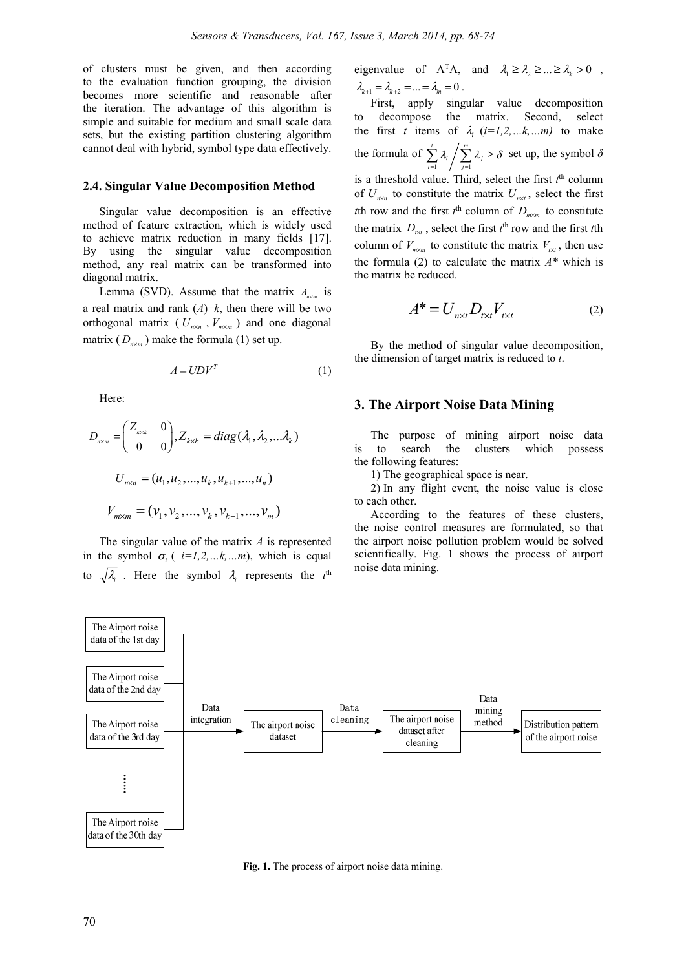of clusters must be given, and then according to the evaluation function grouping, the division becomes more scientific and reasonable after the iteration. The advantage of this algorithm is simple and suitable for medium and small scale data sets, but the existing partition clustering algorithm cannot deal with hybrid, symbol type data effectively.

#### **2.4. Singular Value Decomposition Method**

Singular value decomposition is an effective method of feature extraction, which is widely used to achieve matrix reduction in many fields [17]. By using the singular value decomposition method, any real matrix can be transformed into diagonal matrix.

Lemma (SVD). Assume that the matrix  $A_{n \times m}$  is a real matrix and rank  $(A)=k$ , then there will be two orthogonal matrix ( $U_{n \times n}$ ,  $V_{m \times m}$ ) and one diagonal matrix  $(D_{n \times m})$  make the formula (1) set up.

$$
A = U D V^T \tag{1}
$$

Here:

$$
D_{n \times m} = \begin{pmatrix} Z_{k \times k} & 0 \\ 0 & 0 \end{pmatrix}, Z_{k \times k} = diag(\lambda_1, \lambda_2, \dots, \lambda_k)
$$
  

$$
U_{n \times n} = (u_1, u_2, \dots, u_k, u_{k+1}, \dots, u_n)
$$
  

$$
V_{m \times m} = (v_1, v_2, \dots, v_k, v_{k+1}, \dots, v_m)
$$

The singular value of the matrix *A* is represented in the symbol  $\sigma_i$  (  $i=1,2,...k,...m$ ), which is equal to  $\sqrt{\lambda_i}$ . Here the symbol  $\lambda_i$  represents the *i*<sup>th</sup>

eigenvalue of A<sup>T</sup>A, and  $\lambda_1 \geq \lambda_2 \geq ... \geq \lambda_k > 0$ ,  $\lambda_{k+1} = \lambda_{k+2} = ... = \lambda_m = 0$ .

First, apply singular value decomposition to decompose the matrix. Second, select the first *t* items of  $\lambda$ ,  $(i=1,2,...k,...m)$  to make the formula of  $\sum_{i=1}^{t} \lambda_i / \sum_{j=1}^{m}$  $\sum_{i=1}^{l} \binom{l}{i} \sum_{j=1}^{l} \binom{l}{j}$  $\lambda$ ,  $\lambda$   $\lambda$ ,  $\geq \delta$  $\sum_{i=1} \lambda_i / \sum_{j=1} \lambda_j \ge \delta$  set up, the symbol  $\delta$ is a threshold value. Third, select the first  $t<sup>th</sup>$  column of  $U_{n \times n}$  to constitute the matrix  $U_{n \times t}$ , select the first *t*<sup>th</sup> row and the first  $t^{\text{th}}$  column of  $D_{m \times m}$  to constitute the matrix  $D_{\alpha t}$ , select the first  $t^{\text{th}}$  row and the first  $t^{\text{th}}$ column of  $V_{m \times m}$  to constitute the matrix  $V_{rx}$ , then use the formula (2) to calculate the matrix  $A^*$  which is the matrix be reduced.

$$
A^* = U_{n \times t} D_{t \times t} V_{t \times t} \tag{2}
$$

By the method of singular value decomposition, the dimension of target matrix is reduced to *t*.

#### **3. The Airport Noise Data Mining**

The purpose of mining airport noise data is to search the clusters which possess the following features:

1) The geographical space is near.

2) In any flight event, the noise value is close to each other.

According to the features of these clusters, the noise control measures are formulated, so that the airport noise pollution problem would be solved scientifically. Fig. 1 shows the process of airport noise data mining.



**Fig. 1.** The process of airport noise data mining.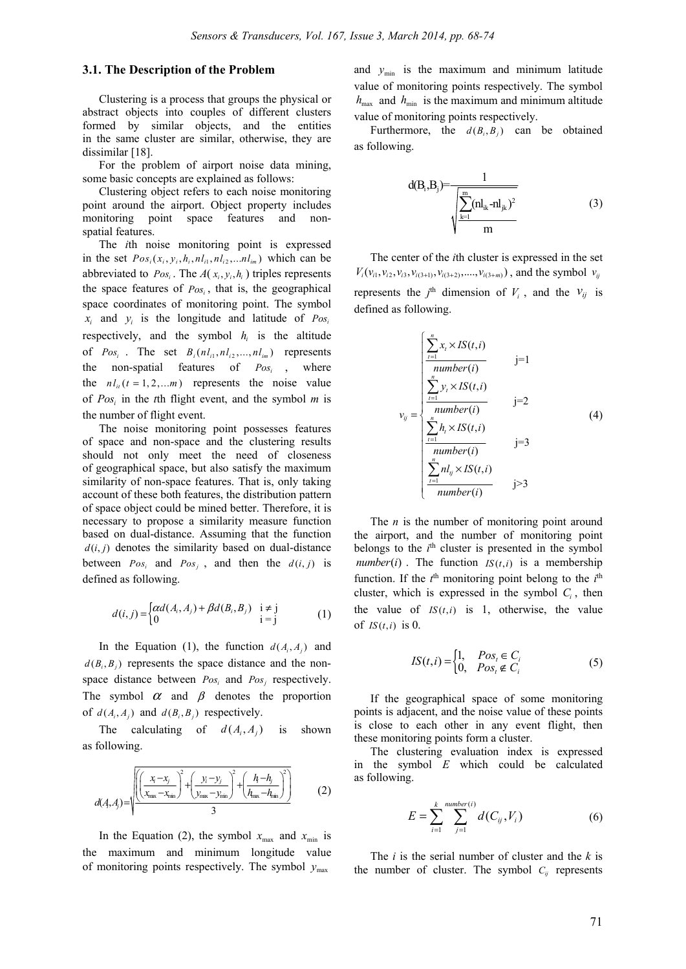#### **3.1. The Description of the Problem**

Clustering is a process that groups the physical or abstract objects into couples of different clusters formed by similar objects, and the entities in the same cluster are similar, otherwise, they are dissimilar [18].

For the problem of airport noise data mining, some basic concepts are explained as follows:

Clustering object refers to each noise monitoring point around the airport. Object property includes monitoring point space features and nonspatial features.

The *i*th noise monitoring point is expressed in the set  $Pos_i(x_i, y_i, h_i, nl_{i1}, nl_{i2}, ...nl_{im})$  which can be abbreviated to  $Pos_i$ . The  $A(x_i, y_i, h_i)$  triples represents the space features of  $Pos<sub>i</sub>$ , that is, the geographical space coordinates of monitoring point. The symbol  $x_i$  and  $y_i$  is the longitude and latitude of  $Pos_i$ respectively, and the symbol  $h_i$  is the altitude of  $Pos_i$ . The set  $B_i(nl_{i1}, nl_{i2},..., nl_{in})$  represents the non-spatial features of  $Pos_i$ , where the  $n l_i$   $(t = 1, 2,...m)$  represents the noise value of *Posi* in the *t*th flight event, and the symbol *m* is the number of flight event.

The noise monitoring point possesses features of space and non-space and the clustering results should not only meet the need of closeness of geographical space, but also satisfy the maximum similarity of non-space features. That is, only taking account of these both features, the distribution pattern of space object could be mined better. Therefore, it is necessary to propose a similarity measure function based on dual-distance. Assuming that the function  $d(i, j)$  denotes the similarity based on dual-distance between  $Pos_i$  and  $Pos_j$ , and then the  $d(i, j)$  is defined as following.

$$
d(i,j) = \begin{cases} \alpha d(A_i, A_j) + \beta d(B_i, B_j) & i \neq j \\ 0 & i = j \end{cases}
$$
 (1)

In the Equation (1), the function  $d(A_i, A_j)$  and  $d(B_i, B_j)$  represents the space distance and the nonspace distance between *Posi* and *Posj* respectively. The symbol  $\alpha$  and  $\beta$  denotes the proportion of  $d(A_i, A_j)$  and  $d(B_i, B_j)$  respectively.

The calculating of  $d(A_i, A_j)$  is shown as following.

$$
d(A,A) = \sqrt{\frac{\left( \left( \frac{x_i - x_j}{x_{\text{max}} - x_{\text{min}}} \right)^2 + \left( \frac{y_i - y_j}{y_{\text{max}} - y_{\text{min}}} \right)^2 + \left( \frac{h_i - h_j}{h_{\text{max}} - h_{\text{min}}} \right)^2 \right)}}{3}
$$
(2)

In the Equation (2), the symbol  $x_{\text{max}}$  and  $x_{\text{min}}$  is the maximum and minimum longitude value of monitoring points respectively. The symbol  $y_{\text{max}}$ 

and  $y_{\text{min}}$  is the maximum and minimum latitude value of monitoring points respectively. The symbol  $h_{\text{max}}$  and  $h_{\text{min}}$  is the maximum and minimum altitude value of monitoring points respectively.

Furthermore, the  $d(B_i, B_j)$  can be obtained as following.

$$
d(B_i, B_j) = \frac{1}{\sqrt{\sum_{k=1}^{m} (n l_{ik} - n l_{jk})^2}}
$$
(3)

The center of the *i*th cluster is expressed in the set  $V_i(v_{i1}, v_{i2}, v_{i3}, v_{i(3+1)}, v_{i(3+2)}, \ldots, v_{i(3+m)})$ , and the symbol  $v_{i}$ represents the  $j^{\text{th}}$  dimension of  $V_i$ , and the  $V_{ij}$  is defined as following.

$$
v_{ij} = \begin{cases}\n\sum_{t=1}^{n} x_t \times IS(t, i) & j=1 \\
\frac{number(i)}{number(i)} & j=1\n\end{cases}
$$
\n
$$
v_{ij} = \begin{cases}\n\sum_{t=1}^{n} y_t \times IS(t, i) & j=2 \\
\frac{mumber(i)}{number(i)} & j=3\n\end{cases}
$$
\n
$$
\sum_{t=1}^{n} n l_{ij} \times IS(t, i) \sum_{t=1}^{n} n l_{ij} \times IS(t, i)
$$
\n
$$
j>3
$$
\n
$$
(4)
$$

The *n* is the number of monitoring point around the airport, and the number of monitoring point belongs to the  $i<sup>th</sup>$  cluster is presented in the symbol  $number(i)$ . The function  $IS(t,i)$  is a membership function. If the  $t<sup>th</sup>$  monitoring point belong to the  $i<sup>th</sup>$ cluster, which is expressed in the symbol  $C_i$ , then the value of  $IS(t,i)$  is 1, otherwise, the value of  $IS(t,i)$  is 0.

$$
IS(t, i) = \begin{cases} 1, & Pos_t \in C_i \\ 0, & Pos_t \notin C_i \end{cases}
$$
 (5)

If the geographical space of some monitoring points is adjacent, and the noise value of these points is close to each other in any event flight, then these monitoring points form a cluster.

The clustering evaluation index is expressed in the symbol *E* which could be calculated as following.

$$
E = \sum_{i=1}^{k} \sum_{j=1}^{number(i)} d(C_{ij}, V_i)
$$
 (6)

The *i* is the serial number of cluster and the *k* is the number of cluster. The symbol  $C_{ij}$  represents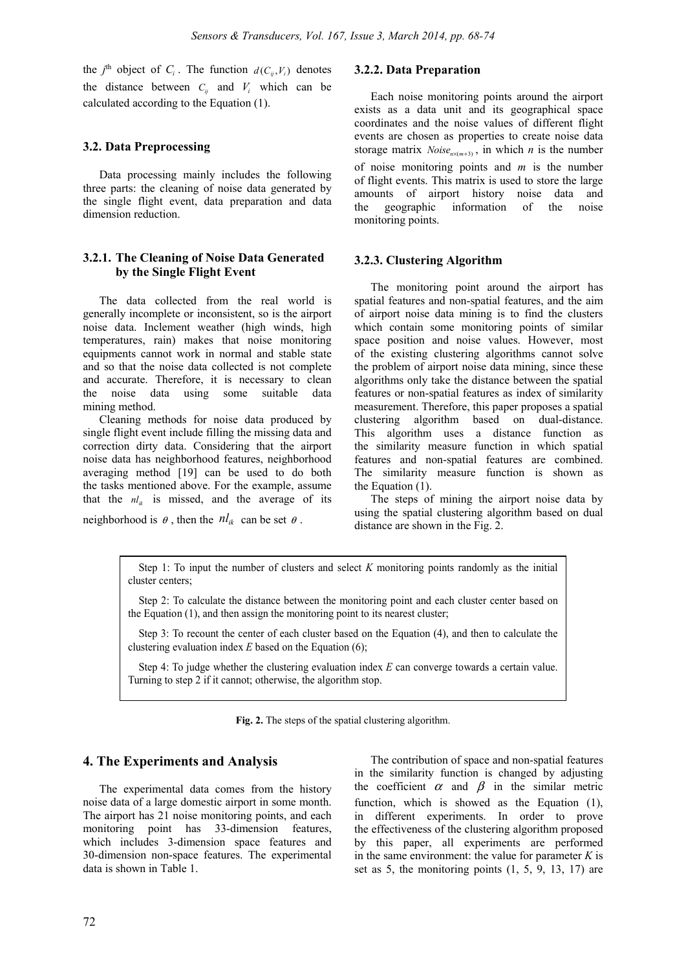the  $j^{\text{th}}$  object of  $C_i$ . The function  $d(C_{ij}, V_i)$  denotes the distance between  $C_i$  and  $V_i$  which can be calculated according to the Equation (1).

#### **3.2. Data Preprocessing**

Data processing mainly includes the following three parts: the cleaning of noise data generated by the single flight event, data preparation and data dimension reduction.

## **3.2.1. The Cleaning of Noise Data Generated by the Single Flight Event**

The data collected from the real world is generally incomplete or inconsistent, so is the airport noise data. Inclement weather (high winds, high temperatures, rain) makes that noise monitoring equipments cannot work in normal and stable state and so that the noise data collected is not complete and accurate. Therefore, it is necessary to clean the noise data using some suitable data mining method.

Cleaning methods for noise data produced by single flight event include filling the missing data and correction dirty data. Considering that the airport noise data has neighborhood features, neighborhood averaging method [19] can be used to do both the tasks mentioned above. For the example, assume that the  $nl_{ik}$  is missed, and the average of its

neighborhood is  $\theta$ , then the  $nl_{ik}$  can be set  $\theta$ .

#### **3.2.2. Data Preparation**

Each noise monitoring points around the airport exists as a data unit and its geographical space coordinates and the noise values of different flight events are chosen as properties to create noise data storage matrix *Noise<sub>nx(m+3)</sub>*, in which *n* is the number of noise monitoring points and *m* is the number of flight events. This matrix is used to store the large amounts of airport history noise data and the geographic information of the noise monitoring points.

### **3.2.3. Clustering Algorithm**

The monitoring point around the airport has spatial features and non-spatial features, and the aim of airport noise data mining is to find the clusters which contain some monitoring points of similar space position and noise values. However, most of the existing clustering algorithms cannot solve the problem of airport noise data mining, since these algorithms only take the distance between the spatial features or non-spatial features as index of similarity measurement. Therefore, this paper proposes a spatial clustering algorithm based on dual-distance. This algorithm uses a distance function as the similarity measure function in which spatial features and non-spatial features are combined. The similarity measure function is shown as the Equation (1).

The steps of mining the airport noise data by using the spatial clustering algorithm based on dual distance are shown in the Fig. 2.

Step 1: To input the number of clusters and select *K* monitoring points randomly as the initial cluster centers;

Step 2: To calculate the distance between the monitoring point and each cluster center based on the Equation (1), and then assign the monitoring point to its nearest cluster;

Step 3: To recount the center of each cluster based on the Equation (4), and then to calculate the clustering evaluation index *E* based on the Equation (6);

Step 4: To judge whether the clustering evaluation index *E* can converge towards a certain value. Turning to step 2 if it cannot; otherwise, the algorithm stop.

**Fig. 2.** The steps of the spatial clustering algorithm.

#### **4. The Experiments and Analysis**

The experimental data comes from the history noise data of a large domestic airport in some month. The airport has 21 noise monitoring points, and each monitoring point has 33-dimension features, which includes 3-dimension space features and 30-dimension non-space features. The experimental data is shown in Table 1.

The contribution of space and non-spatial features in the similarity function is changed by adjusting the coefficient  $\alpha$  and  $\beta$  in the similar metric function, which is showed as the Equation (1), in different experiments. In order to prove the effectiveness of the clustering algorithm proposed by this paper, all experiments are performed in the same environment: the value for parameter *K* is set as  $5$ , the monitoring points  $(1, 5, 9, 13, 17)$  are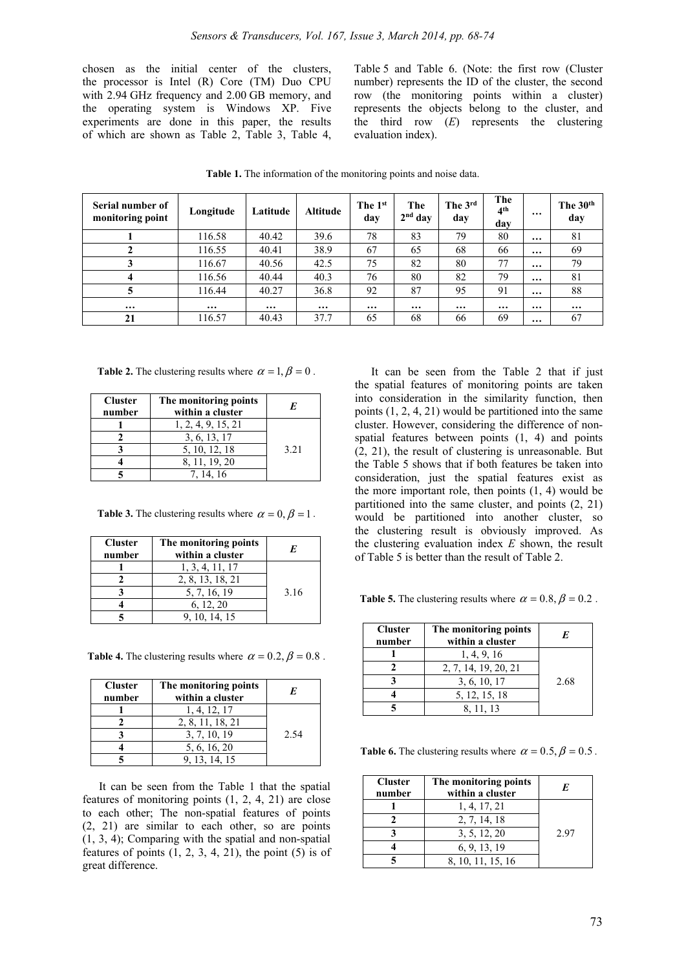chosen as the initial center of the clusters, the processor is Intel (R) Core (TM) Duo CPU with 2.94 GHz frequency and 2.00 GB memory, and the operating system is Windows XP. Five experiments are done in this paper, the results of which are shown as Table 2, Table 3, Table 4, Table 5 and Table 6. (Note: the first row (Cluster number) represents the ID of the cluster, the second row (the monitoring points within a cluster) represents the objects belong to the cluster, and the third row (*E*) represents the clustering evaluation index).

| Serial number of<br>monitoring point | Longitude | Latitude | <b>Altitude</b> | The 1 <sup>st</sup><br>dav | The<br>$2nd$ day | The 3rd<br>day | The<br>4 <sup>th</sup><br>day | $\cdots$ | The 30 <sup>th</sup><br>day |
|--------------------------------------|-----------|----------|-----------------|----------------------------|------------------|----------------|-------------------------------|----------|-----------------------------|
|                                      | 116.58    | 40.42    | 39.6            | 78                         | 83               | 79             | 80                            | $\cdots$ | 81                          |
| 2                                    | 116.55    | 40.41    | 38.9            | 67                         | 65               | 68             | 66                            | $\cdots$ | 69                          |
| 3                                    | 116.67    | 40.56    | 42.5            | 75                         | 82               | 80             | 77                            | $\cdots$ | 79                          |
| 4                                    | 116.56    | 40.44    | 40.3            | 76                         | 80               | 82             | 79                            | $\cdots$ | 81                          |
| 5                                    | 116.44    | 40.27    | 36.8            | 92                         | 87               | 95             | 91                            | $\cdots$ | 88                          |
| $\cdots$                             | $\cdots$  | $\cdots$ | $\cdots$        | $\cdots$                   | $\cdots$         | $\cdots$       | $\cdots$                      | $\cdots$ | $\cdots$                    |
| 21                                   | 116.57    | 40.43    | 37.7            | 65                         | 68               | 66             | 69                            | $\cdots$ | 67                          |

**Table 1.** The information of the monitoring points and noise data.

**Table 2.** The clustering results where  $\alpha = 1, \beta = 0$ .

| <b>Cluster</b><br>number | The monitoring points<br>within a cluster | E    |
|--------------------------|-------------------------------------------|------|
|                          | 1, 2, 4, 9, 15, 21                        |      |
|                          | 3, 6, 13, 17                              |      |
|                          | 5, 10, 12, 18                             | 3.21 |
|                          | 8, 11, 19, 20                             |      |
|                          | 7 14 16                                   |      |

**Table 3.** The clustering results where  $\alpha = 0, \beta = 1$ .

| <b>Cluster</b><br>number | The monitoring points<br>within a cluster | E    |
|--------------------------|-------------------------------------------|------|
|                          | 1, 3, 4, 11, 17                           |      |
|                          | 2, 8, 13, 18, 21                          |      |
|                          | 5, 7, 16, 19                              | 3.16 |
|                          | 6, 12, 20                                 |      |
|                          | 9, 10, 14, 15                             |      |

**Table 4.** The clustering results where  $\alpha = 0.2$ ,  $\beta = 0.8$ .

| <b>Cluster</b><br>number | The monitoring points<br>within a cluster | E    |
|--------------------------|-------------------------------------------|------|
|                          | 1, 4, 12, 17                              |      |
|                          | 2, 8, 11, 18, 21                          |      |
|                          | 3, 7, 10, 19                              | 2.54 |
|                          | 5, 6, 16, 20                              |      |
|                          | 9, 13, 14, 15                             |      |

It can be seen from the Table 1 that the spatial features of monitoring points (1, 2, 4, 21) are close to each other; The non-spatial features of points (2, 21) are similar to each other, so are points (1, 3, 4); Comparing with the spatial and non-spatial features of points  $(1, 2, 3, 4, 21)$ , the point  $(5)$  is of great difference.

It can be seen from the Table 2 that if just the spatial features of monitoring points are taken into consideration in the similarity function, then points (1, 2, 4, 21) would be partitioned into the same cluster. However, considering the difference of nonspatial features between points (1, 4) and points (2, 21), the result of clustering is unreasonable. But the Table 5 shows that if both features be taken into consideration, just the spatial features exist as the more important role, then points  $(1, 4)$  would be partitioned into the same cluster, and points (2, 21) would be partitioned into another cluster, so the clustering result is obviously improved. As the clustering evaluation index *E* shown, the result of Table 5 is better than the result of Table 2.

**Table 5.** The clustering results where  $\alpha = 0.8$ ,  $\beta = 0.2$ .

| <b>Cluster</b><br>number | The monitoring points<br>within a cluster | E    |
|--------------------------|-------------------------------------------|------|
|                          | 1, 4, 9, 16                               |      |
|                          | 2, 7, 14, 19, 20, 21                      |      |
|                          | 3, 6, 10, 17                              | 2.68 |
|                          | 5, 12, 15, 18                             |      |
|                          | 8, 11, 13                                 |      |

**Table 6.** The clustering results where  $\alpha = 0.5$ ,  $\beta = 0.5$ .

| <b>Cluster</b><br>number | The monitoring points<br>within a cluster | E    |
|--------------------------|-------------------------------------------|------|
|                          | 1, 4, 17, 21                              |      |
|                          | 2, 7, 14, 18                              |      |
|                          | 3, 5, 12, 20                              | 2.97 |
|                          | 6, 9, 13, 19                              |      |
|                          | 8, 10, 11, 15, 16                         |      |